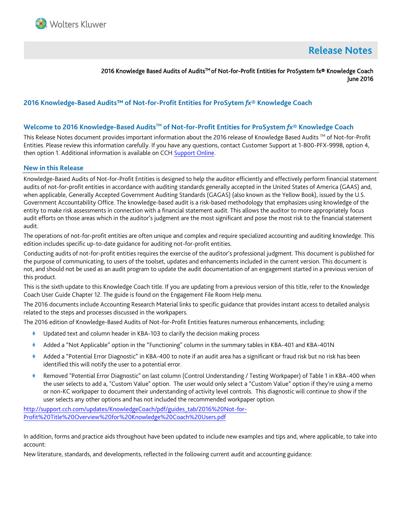

# **Release Notes**

2016 Knowledge Based Audits of Audits™ of Not-for-Profit Entities for ProSystem fx® Knowledge Coach June 2016

# **2016 Knowledge-Based Audits™ of Not-for-Profit Entities for ProSytem** *fx***® Knowledge Coach**

#### **Welcome to 2016 Knowledge-Based AuditsTM of Not-for-Profit Entities for ProSystem** *fx***® Knowledge Coach**

This Release Notes document provides important information about the 2016 release of Knowledge Based Audits ™ of Not-for-Profit Entities. Please review this information carefully. If you have any questions, contact Customer Support at 1-800-PFX-9998, option 4, then option 1. Additional information is available on CCH [Support Online.](http://support.cch.com/productsupport/)

#### **New in this Release**

Knowledge-Based Audits of Not-for-Profit Entities is designed to help the auditor efficiently and effectively perform financial statement audits of not-for-profit entities in accordance with auditing standards generally accepted in the United States of America (GAAS) and, when applicable, Generally Accepted Government Auditing Standards (GAGAS) (also known as the Yellow Book), issued by the U.S. Government Accountability Office. The knowledge-based audit is a risk-based methodology that emphasizes using knowledge of the entity to make risk assessments in connection with a financial statement audit. This allows the auditor to more appropriately focus audit efforts on those areas which in the auditor's judgment are the most significant and pose the most risk to the financial statement audit.

The operations of not-for-profit entities are often unique and complex and require specialized accounting and auditing knowledge. This edition includes specific up-to-date guidance for auditing not-for-profit entities.

Conducting audits of not-for-profit entities requires the exercise of the auditor's professional judgment. This document is published for the purpose of communicating, to users of the toolset, updates and enhancements included in the current version. This document is not, and should not be used as an audit program to update the audit documentation of an engagement started in a previous version of this product.

This is the sixth update to this Knowledge Coach title. If you are updating from a previous version of this title, refer to the Knowledge Coach User Guide Chapter 12. The guide is found on the Engagement File Room Help menu.

The 2016 documents include Accounting Research Material links to specific guidance that provides instant access to detailed analysis related to the steps and processes discussed in the workpapers.

The 2016 edition of Knowledge-Based Audits of Not-for-Profit Entities features numerous enhancements, including:

- Updated text and column header in KBA-103 to clarify the decision making process
- Added a "Not Applicable" option in the "Functioning" column in the summary tables in KBA-401 and KBA-401N
- Added a "Potential Error Diagnostic" in KBA-400 to note if an audit area has a significant or fraud risk but no risk has been identified this will notify the user to a potential error.
- Removed "Potential Error Diagnostic" on last column (Control Understanding / Testing Workpaper) of Table 1 in KBA-400 when the user selects to add a, "Custom Value" option. The user would only select a "Custom Value" option if they're using a memo or non-KC workpaper to document their understanding of activity level controls. This diagnostic will continue to show if the user selects any other options and has not included the recommended workpaper option.

[http://support.cch.com/updates/KnowledgeCoach/pdf/guides\\_tab/2016%20Not-for-](http://support.cch.com/updates/KnowledgeCoach/pdf/guides_tab/2016%20Not-for-Profit%20Title%20Overview%20for%20Knowledge%20Coach%20Users.pdf)[Profit%20Title%20Overview%20for%20Knowledge%20Coach%20Users.pdf](http://support.cch.com/updates/KnowledgeCoach/pdf/guides_tab/2016%20Not-for-Profit%20Title%20Overview%20for%20Knowledge%20Coach%20Users.pdf)

In addition, forms and practice aids throughout have been updated to include new examples and tips and, where applicable, to take into account:

New literature, standards, and developments, reflected in the following current audit and accounting guidance: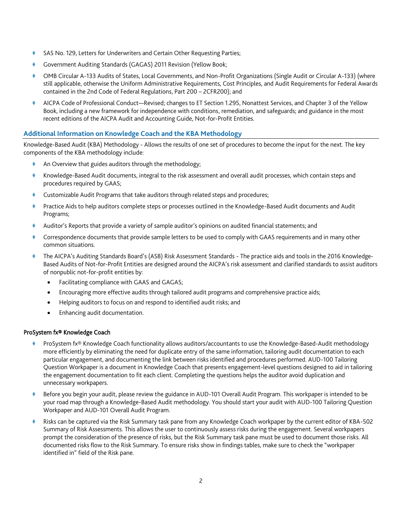- SAS No. 129, Letters for Underwriters and Certain Other Requesting Parties;
- Government Auditing Standards (GAGAS) 2011 Revision (Yellow Book;
- OMB Circular A-133 Audits of States, Local Governments, and Non-Profit Organizations (Single Audit or Circular A-133) (where still applicable, otherwise the Uniform Administrative Requirements, Cost Principles, and Audit Requirements for Federal Awards contained in the 2nd Code of Federal Regulations, Part 200 – 2CFR200); and
- AICPA Code of Professional Conduct—Revised; changes to ET Section 1.295, Nonattest Services, and Chapter 3 of the Yellow Book, including a new framework for independence with conditions, remediation, and safeguards; and guidance in the most recent editions of the AICPA Audit and Accounting Guide, Not-for-Profit Entities.

# **Additional Information on Knowledge Coach and the KBA Methodology**

Knowledge-Based Audit (KBA) Methodology - Allows the results of one set of procedures to become the input for the next. The key components of the KBA methodology include:

- An Overview that guides auditors through the methodology;
- Knowledge-Based Audit documents, integral to the risk assessment and overall audit processes, which contain steps and procedures required by GAAS;
- Customizable Audit Programs that take auditors through related steps and procedures;
- Practice Aids to help auditors complete steps or processes outlined in the Knowledge-Based Audit documents and Audit Programs;
- Auditor's Reports that provide a variety of sample auditor's opinions on audited financial statements; and
- Correspondence documents that provide sample letters to be used to comply with GAAS requirements and in many other common situations.
- The AICPA's Auditing Standards Board's (ASB) Risk Assessment Standards The practice aids and tools in the 2016 Knowledge-Based Audits of Not-for-Profit Entities are designed around the AICPA's risk assessment and clarified standards to assist auditors of nonpublic not-for-profit entities by:
	- Facilitating compliance with GAAS and GAGAS;
	- Encouraging more effective audits through tailored audit programs and comprehensive practice aids;
	- Helping auditors to focus on and respond to identified audit risks; and
	- Enhancing audit documentation.

# ProSystem fx® Knowledge Coach

- ProSystem fx® Knowledge Coach functionality allows auditors/accountants to use the Knowledge-Based-Audit methodology more efficiently by eliminating the need for duplicate entry of the same information, tailoring audit documentation to each particular engagement, and documenting the link between risks identified and procedures performed. AUD-100 Tailoring Question Workpaper is a document in Knowledge Coach that presents engagement-level questions designed to aid in tailoring the engagement documentation to fit each client. Completing the questions helps the auditor avoid duplication and unnecessary workpapers.
- Before you begin your audit, please review the guidance in AUD-101 Overall Audit Program. This workpaper is intended to be your road map through a Knowledge-Based Audit methodology. You should start your audit with AUD-100 Tailoring Question Workpaper and AUD-101 Overall Audit Program.
- Risks can be captured via the Risk Summary task pane from any Knowledge Coach workpaper by the current editor of KBA-502 Summary of Risk Assessments. This allows the user to continuously assess risks during the engagement. Several workpapers prompt the consideration of the presence of risks, but the Risk Summary task pane must be used to document those risks. All documented risks flow to the Risk Summary. To ensure risks show in findings tables, make sure to check the "workpaper identified in" field of the Risk pane.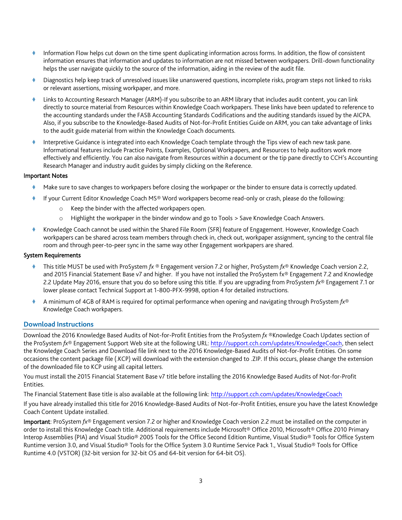- Information Flow helps cut down on the time spent duplicating information across forms. In addition, the flow of consistent information ensures that information and updates to information are not missed between workpapers. Drill-down functionality helps the user navigate quickly to the source of the information, aiding in the review of the audit file.
- Diagnostics help keep track of unresolved issues like unanswered questions, incomplete risks, program steps not linked to risks or relevant assertions, missing workpaper, and more.
- Links to Accounting Research Manager (ARM)-If you subscribe to an ARM library that includes audit content, you can link directly to source material from Resources within Knowledge Coach workpapers. These links have been updated to reference to the accounting standards under the FASB Accounting Standards Codifications and the auditing standards issued by the AICPA. Also, if you subscribe to the Knowledge-Based Audits of Not-for-Profit Entities Guide on ARM, you can take advantage of links to the audit guide material from within the Knowledge Coach documents.
- Interpretive Guidance is integrated into each Knowledge Coach template through the Tips view of each new task pane. Informational features include Practice Points, Examples, Optional Workpapers, and Resources to help auditors work more effectively and efficiently. You can also navigate from Resources within a document or the tip pane directly to CCH's Accounting Research Manager and industry audit guides by simply clicking on the Reference.

### Important Notes

- Make sure to save changes to workpapers before closing the workpaper or the binder to ensure data is correctly updated.
- If your Current Editor Knowledge Coach MS® Word workpapers become read-only or crash, please do the following:
	- o Keep the binder with the affected workpapers open.
	- o Highlight the workpaper in the binder window and go to Tools > Save Knowledge Coach Answers.
- Knowledge Coach cannot be used within the Shared File Room (SFR) feature of Engagement. However, Knowledge Coach workpapers can be shared across team members through check in, check out, workpaper assignment, syncing to the central file room and through peer-to-peer sync in the same way other Engagement workpapers are shared.

### System Requirements

- This title MUST be used with ProSystem *fx* ® Engagement version 7.2 or higher, ProSystem *fx*® Knowledge Coach version 2.2, and 2015 Financial Statement Base v7 and higher. If you have not installed the ProSystem fx® Engagement 7.2 and Knowledge 2.2 Update May 2016, ensure that you do so before using this title. If you are upgrading from ProSystem *fx*® Engagement 7.1 or lower please contact Technical Support at 1-800-PFX-9998, option 4 for detailed instructions.
- A minimum of 4GB of RAM is required for optimal performance when opening and navigating through ProSystem *fx*® Knowledge Coach workpapers.

#### **Download Instructions**

Download the 2016 Knowledge Based Audits of Not-for-Profit Entities from the ProSystem *fx* ®Knowledge Coach Updates section of the ProSystem *fx*® Engagement Support Web site at the following URL: [http://support.cch.com/updates/KnowledgeCoach,](http://support.cch.com/updates/KnowledgeCoach) then select the Knowledge Coach Series and Download file link next to the 2016 Knowledge-Based Audits of Not-for-Profit Entities. On some occasions the content package file (.KCP) will download with the extension changed to .ZIP. If this occurs, please change the extension of the downloaded file to KCP using all capital letters.

You must install the 2015 Financial Statement Base v7 title before installing the 2016 Knowledge Based Audits of Not-for-Profit Entities.

The Financial Statement Base title is also available at the following link:<http://support.cch.com/updates/KnowledgeCoach>

If you have already installed this title for 2016 Knowledge-Based Audits of Not-for-Profit Entities, ensure you have the latest Knowledge Coach Content Update installed.

Important: ProSystem *fx*® Engagement version 7.2 or higher and Knowledge Coach version 2.2 must be installed on the computer in order to install this Knowledge Coach title. Additional requirements include Microsoft® Office 2010, Microsoft® Office 2010 Primary Interop Assemblies (PIA) and Visual Studio® 2005 Tools for the Office Second Edition Runtime, Visual Studio® Tools for Office System Runtime version 3.0, and Visual Studio® Tools for the Office System 3.0 Runtime Service Pack 1., Visual Studio® Tools for Office Runtime 4.0 (VSTOR) (32-bit version for 32-bit OS and 64-bit version for 64-bit OS).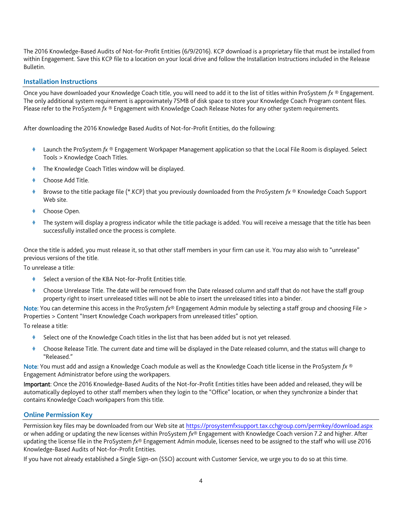The 2016 Knowledge-Based Audits of Not-for-Profit Entities (6/9/2016). KCP download is a proprietary file that must be installed from within Engagement. Save this KCP file to a location on your local drive and follow the Installation Instructions included in the Release Bulletin.

### **Installation Instructions**

Once you have downloaded your Knowledge Coach title, you will need to add it to the list of titles within ProSystem *fx* ® Engagement. The only additional system requirement is approximately 75MB of disk space to store your Knowledge Coach Program content files. Please refer to the ProSystem *fx* ® Engagement with Knowledge Coach Release Notes for any other system requirements.

After downloading the 2016 Knowledge Based Audits of Not-for-Profit Entities, do the following:

- Launch the ProSystem *fx* ® Engagement Workpaper Management application so that the Local File Room is displayed. Select Tools > Knowledge Coach Titles.
- The Knowledge Coach Titles window will be displayed.
- Choose Add Title.
- Browse to the title package file (\*.KCP) that you previously downloaded from the ProSystem *fx* ® Knowledge Coach Support Web site.
- Choose Open.
- The system will display a progress indicator while the title package is added. You will receive a message that the title has been successfully installed once the process is complete.

Once the title is added, you must release it, so that other staff members in your firm can use it. You may also wish to "unrelease" previous versions of the title.

To unrelease a title:

- Select a version of the KBA Not-for-Profit Entities title.
- Choose Unrelease Title. The date will be removed from the Date released column and staff that do not have the staff group property right to insert unreleased titles will not be able to insert the unreleased titles into a binder.

Note: You can determine this access in the ProSystem *fx*® Engagement Admin module by selecting a staff group and choosing File > Properties > Content "Insert Knowledge Coach workpapers from unreleased titles" option.

To release a title:

- Select one of the Knowledge Coach titles in the list that has been added but is not yet released.
- Choose Release Title. The current date and time will be displayed in the Date released column, and the status will change to "Released."

Note: You must add and assign a Knowledge Coach module as well as the Knowledge Coach title license in the ProSystem *fx* ® Engagement Administrator before using the workpapers.

Important: Once the 2016 Knowledge-Based Audits of the Not-for-Profit Entities titles have been added and released, they will be automatically deployed to other staff members when they login to the "Office" location, or when they synchronize a binder that contains Knowledge Coach workpapers from this title.

#### **Online Permission Key**

Permission key files may be downloaded from our Web site a[t https://prosystemfxsupport.tax.cchgroup.com/permkey/download.aspx](https://prosystemfxsupport.tax.cchgroup.com/permkey/download.aspx)  or when adding or updating the new licenses within ProSystem *fx*® Engagement with Knowledge Coach version 7.2 and higher. After updating the license file in the ProSystem *fx*® Engagement Admin module, licenses need to be assigned to the staff who will use 2016 Knowledge-Based Audits of Not-for-Profit Entities.

If you have not already established a Single Sign-on (SSO) account with Customer Service, we urge you to do so at this time.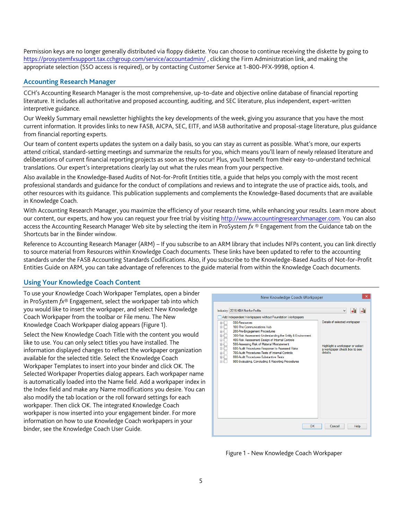Permission keys are no longer generally distributed via floppy diskette. You can choose to continue receiving the diskette by going to <https://prosystemfxsupport.tax.cchgroup.com/service/accountadmin/> , clicking the Firm Administration link, and making the appropriate selection (SSO access is required), or by contacting Customer Service at 1-800-PFX-9998, option 4.

# **Accounting Research Manager**

CCH's Accounting Research Manager is the most comprehensive, up-to-date and objective online database of financial reporting literature. It includes all authoritative and proposed accounting, auditing, and SEC literature, plus independent, expert-written interpretive guidance.

Our Weekly Summary email newsletter highlights the key developments of the week, giving you assurance that you have the most current information. It provides links to new FASB, AICPA, SEC, EITF, and IASB authoritative and proposal-stage literature, plus guidance from financial reporting experts.

Our team of content experts updates the system on a daily basis, so you can stay as current as possible. What's more, our experts attend critical, standard-setting meetings and summarize the results for you, which means you'll learn of newly released literature and deliberations of current financial reporting projects as soon as they occur! Plus, you'll benefit from their easy-to-understand technical translations. Our expert's interpretations clearly lay out what the rules mean from your perspective.

Also available in the Knowledge-Based Audits of Not-for-Profit Entities title, a guide that helps you comply with the most recent professional standards and guidance for the conduct of compilations and reviews and to integrate the use of practice aids, tools, and other resources with its guidance. This publication supplements and complements the Knowledge-Based documents that are available in Knowledge Coach.

With Accounting Research Manager, you maximize the efficiency of your research time, while enhancing your results. Learn more about our content, our experts, and how you can request your free trial by visiting [http://www.accountingresearchmanager.com.](http://www.accountingresearchmanager.com/) You can also access the Accounting Research Manager Web site by selecting the item in ProSystem *fx* ® Engagement from the Guidance tab on the Shortcuts bar in the Binder window.

Reference to Accounting Research Manager (ARM) – If you subscribe to an ARM library that includes NFPs content, you can link directly to source material from Resources within Knowledge Coach documents. These links have been updated to refer to the accounting standards under the FASB Accounting Standards Codifications. Also, if you subscribe to the Knowledge-Based Audits of Not-for-Profit Entities Guide on ARM, you can take advantage of references to the guide material from within the Knowledge Coach documents.

# **Using Your Knowledge Coach Content**

To use your Knowledge Coach Workpaper Templates, open a binder in ProSystem *fx*® Engagement, select the workpaper tab into which you would like to insert the workpaper, and select New Knowledge Coach Workpaper from the toolbar or File menu. The New Knowledge Coach Workpaper dialog appears (Figure 1).

Select the New Knowledge Coach Title with the content you would like to use. You can only select titles you have installed. The information displayed changes to reflect the workpaper organization available for the selected title. Select the Knowledge Coach Workpaper Templates to insert into your binder and click OK. The Selected Workpaper Properties dialog appears. Each workpaper name is automatically loaded into the Name field. Add a workpaper index in the Index field and make any Name modifications you desire. You can also modify the tab location or the roll forward settings for each workpaper. Then click OK. The integrated Knowledge Coach workpaper is now inserted into your engagement binder. For more information on how to use Knowledge Coach workpapers in your binder, see the Knowledge Coach User Guide.



Figure 1 - New Knowledge Coach Workpaper